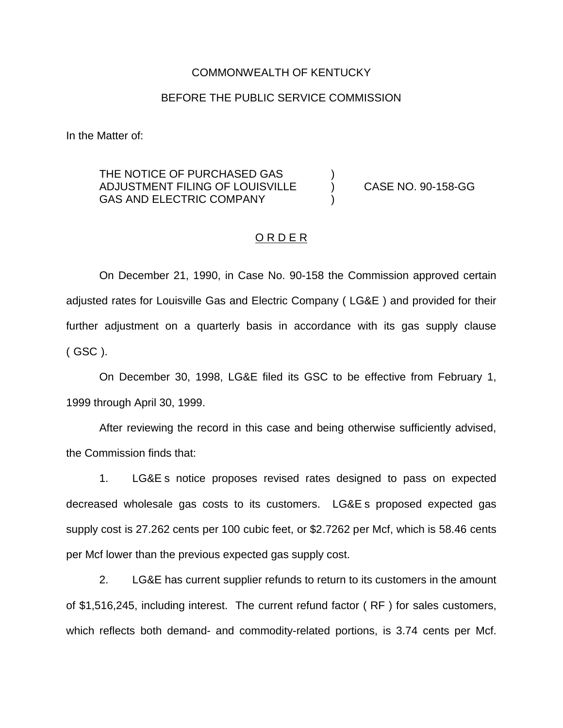#### COMMONWEALTH OF KENTUCKY

### BEFORE THE PUBLIC SERVICE COMMISSION

In the Matter of:

# THE NOTICE OF PURCHASED GAS ADJUSTMENT FILING OF LOUISVILLE ) CASE NO. 90-158-GG GAS AND ELECTRIC COMPANY

#### ORDER

On December 21, 1990, in Case No. 90-158 the Commission approved certain adjusted rates for Louisville Gas and Electric Company ( LG&E ) and provided for their further adjustment on a quarterly basis in accordance with its gas supply clause ( GSC ).

On December 30, 1998, LG&E filed its GSC to be effective from February 1, 1999 through April 30, 1999.

After reviewing the record in this case and being otherwise sufficiently advised, the Commission finds that:

1. LG&E s notice proposes revised rates designed to pass on expected decreased wholesale gas costs to its customers. LG&E s proposed expected gas supply cost is 27.262 cents per 100 cubic feet, or \$2.7262 per Mcf, which is 58.46 cents per Mcf lower than the previous expected gas supply cost.

2. LG&E has current supplier refunds to return to its customers in the amount of \$1,516,245, including interest. The current refund factor ( RF ) for sales customers, which reflects both demand- and commodity-related portions, is 3.74 cents per Mcf.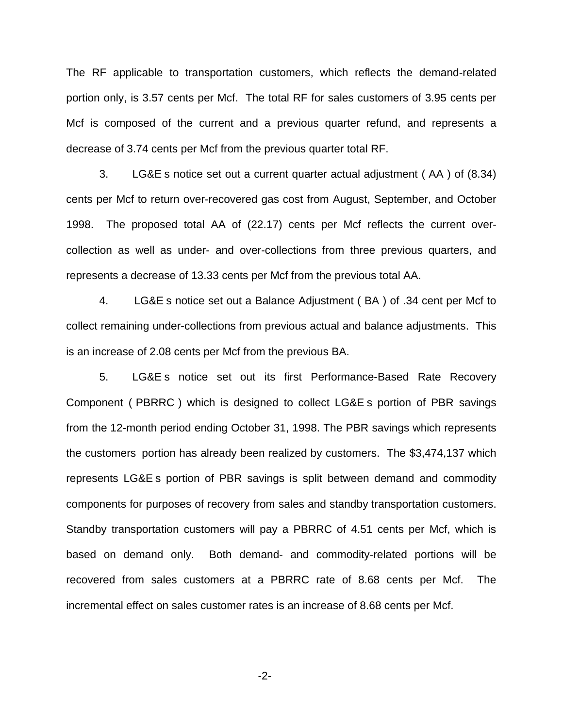The RF applicable to transportation customers, which reflects the demand-related portion only, is 3.57 cents per Mcf. The total RF for sales customers of 3.95 cents per Mcf is composed of the current and a previous quarter refund, and represents a decrease of 3.74 cents per Mcf from the previous quarter total RF.

3. LG&E s notice set out a current quarter actual adjustment ( AA ) of (8.34) cents per Mcf to return over-recovered gas cost from August, September, and October 1998. The proposed total AA of (22.17) cents per Mcf reflects the current overcollection as well as under- and over-collections from three previous quarters, and represents a decrease of 13.33 cents per Mcf from the previous total AA.

4. LG&E s notice set out a Balance Adjustment ( BA ) of .34 cent per Mcf to collect remaining under-collections from previous actual and balance adjustments. This is an increase of 2.08 cents per Mcf from the previous BA.

5. LG&E s notice set out its first Performance-Based Rate Recovery Component ( PBRRC ) which is designed to collect LG&E s portion of PBR savings from the 12-month period ending October 31, 1998. The PBR savings which represents the customers portion has already been realized by customers. The \$3,474,137 which represents LG&E s portion of PBR savings is split between demand and commodity components for purposes of recovery from sales and standby transportation customers. Standby transportation customers will pay a PBRRC of 4.51 cents per Mcf, which is based on demand only. Both demand- and commodity-related portions will be recovered from sales customers at a PBRRC rate of 8.68 cents per Mcf. The incremental effect on sales customer rates is an increase of 8.68 cents per Mcf.

-2-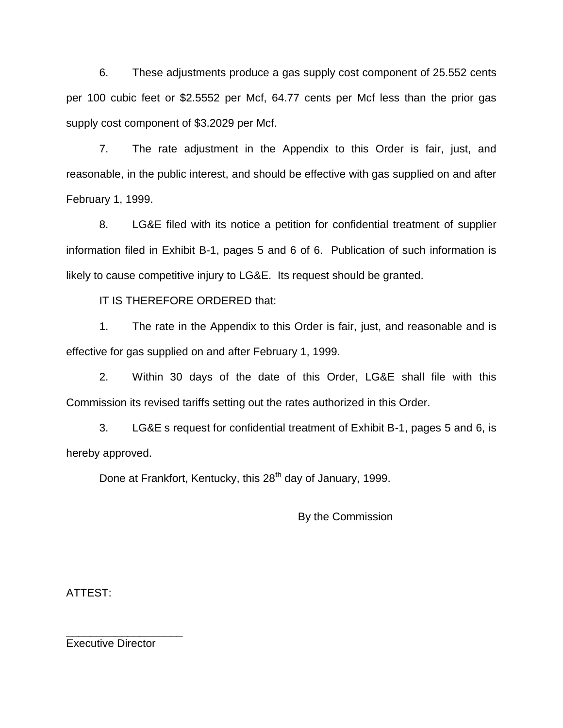6. These adjustments produce a gas supply cost component of 25.552 cents per 100 cubic feet or \$2.5552 per Mcf, 64.77 cents per Mcf less than the prior gas supply cost component of \$3.2029 per Mcf.

7. The rate adjustment in the Appendix to this Order is fair, just, and reasonable, in the public interest, and should be effective with gas supplied on and after February 1, 1999.

8. LG&E filed with its notice a petition for confidential treatment of supplier information filed in Exhibit B-1, pages 5 and 6 of 6. Publication of such information is likely to cause competitive injury to LG&E. Its request should be granted.

IT IS THEREFORE ORDERED that:

1. The rate in the Appendix to this Order is fair, just, and reasonable and is effective for gas supplied on and after February 1, 1999.

2. Within 30 days of the date of this Order, LG&E shall file with this Commission its revised tariffs setting out the rates authorized in this Order.

3. LG&E s request for confidential treatment of Exhibit B-1, pages 5 and 6, is hereby approved.

Done at Frankfort, Kentucky, this 28<sup>th</sup> day of January, 1999.

By the Commission

ATTEST:

Executive Director

\_\_\_\_\_\_\_\_\_\_\_\_\_\_\_\_\_\_\_